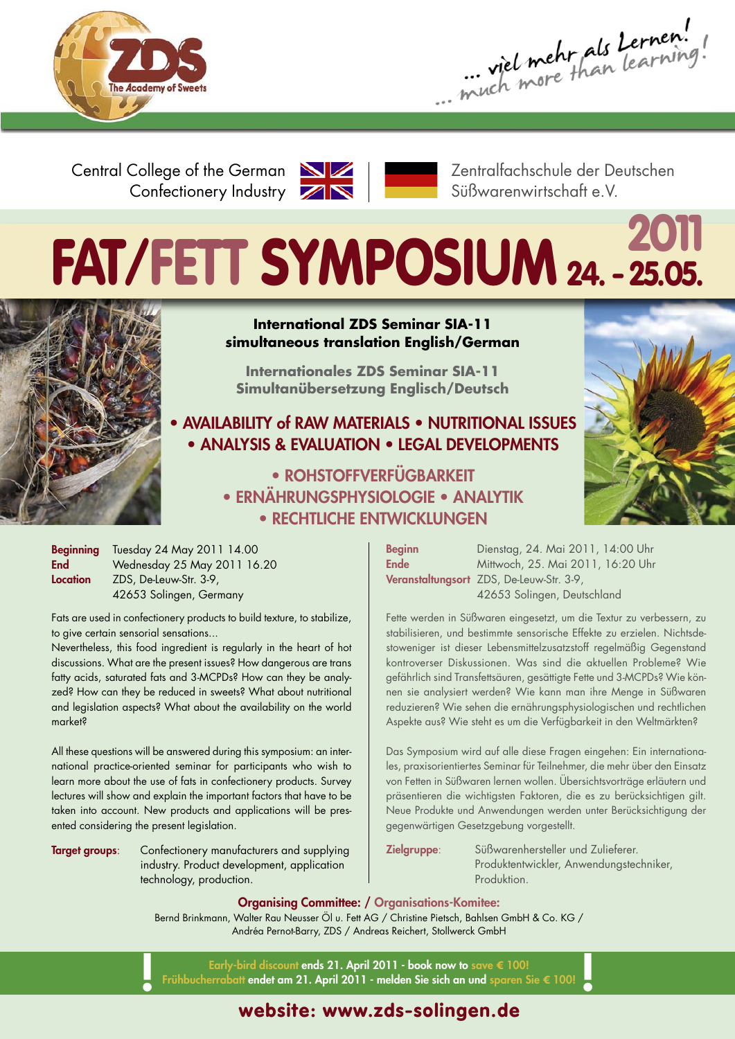

... viel mehr als Lernen!

Central College of the German Confectionery Industry



Zentralfachschule der Deutschen Süßwarenwirtschaft e.V.

# **<sup>2011</sup> FAT/FETT SYMPOSIUM 24. - 25.05.**



#### **International ZDS Seminar SIA-11 simultaneous translation English/German**

**Internationales ZDS Seminar SIA-11 Simultanübersetzung Englisch/Deutsch**

**• AVAILABILITY of RAW MATERIALS • NUTRITIONAL ISSUES • ANALYSIS & EVALUATION • LEGAL DEVELOPMENTS**

> **• ROHSTOFFVERFÜGBARKEIT • ERNÄHRUNGSPHYSIOLOGIE • ANALYTIK • RECHTLICHE ENTWICKLUNGEN**

**Beginning** Tuesday 24 May 2011 14.00 **End** Wednesday 25 May 2011 16.20 **Location** ZDS, De-Leuw-Str. 3-9, 42653 Solingen, Germany

Fats are used in confectionery products to build texture, to stabilize, to give certain sensorial sensations...

Nevertheless, this food ingredient is regularly in the heart of hot discussions. What are the present issues? How dangerous are trans fatty acids, saturated fats and 3-MCPDs? How can they be analyzed? How can they be reduced in sweets? What about nutritional and legislation aspects? What about the availability on the world market?

All these questions will be answered during this symposium: an international practice-oriented seminar for participants who wish to learn more about the use of fats in confectionery products. Survey lectures will show and explain the important factors that have to be taken into account. New products and applications will be presented considering the present legislation.

**Target groups**: Confectionery manufacturers and supplying industry. Product development, application technology, production.

**Beginn** Dienstag, 24. Mai 2011, 14:00 Uhr **Ende** Mittwoch, 25. Mai 2011, 16:20 Uhr **Veranstaltungsort** ZDS, De-Leuw-Str. 3-9, 42653 Solingen, Deutschland

Fette werden in Süßwaren eingesetzt, um die Textur zu verbessern, zu stabilisieren, und bestimmte sensorische Effekte zu erzielen. Nichtsdestoweniger ist dieser Lebensmittelzusatzstoff regelmäßig Gegenstand kontroverser Diskussionen. Was sind die aktuellen Probleme? Wie gefährlich sind Transfettsäuren, gesättigte Fette und 3-MCPDs? Wie können sie analysiert werden? Wie kann man ihre Menge in Süßwaren reduzieren? Wie sehen die ernährungsphysiologischen und rechtlichen Aspekte aus? Wie steht es um die Verfügbarkeit in den Weltmärkten?

Das Symposium wird auf alle diese Fragen eingehen: Ein internationales, praxisorientiertes Seminar für Teilnehmer, die mehr über den Einsatz von Fetten in Süßwaren lernen wollen. Übersichtsvorträge erläutern und präsentieren die wichtigsten Faktoren, die es zu berücksichtigen gilt. Neue Produkte und Anwendungen werden unter Berücksichtigung der gegenwärtigen Gesetzgebung vorgestellt.

**Zielgruppe**: Süßwarenhersteller und Zulieferer. Produktentwickler, Anwendungstechniker, Produktion.

**Organising Committee: / Organisations-Komitee:**

Bernd Brinkmann, Walter Rau Neusser Öl u. Fett AG / Christine Pietsch, Bahlsen GmbH & Co. KG / Andréa Pernot-Barry, ZDS / Andreas Reichert, Stollwerck GmbH

**Early-bird discount ends 21. April 2011 - book now to save € 100! ! Frühbucherrabatt endet am 21. April <sup>2011</sup> - melden Sie sich an und sparen Sie € 100! !**

# **website: www.zds-solingen.de**

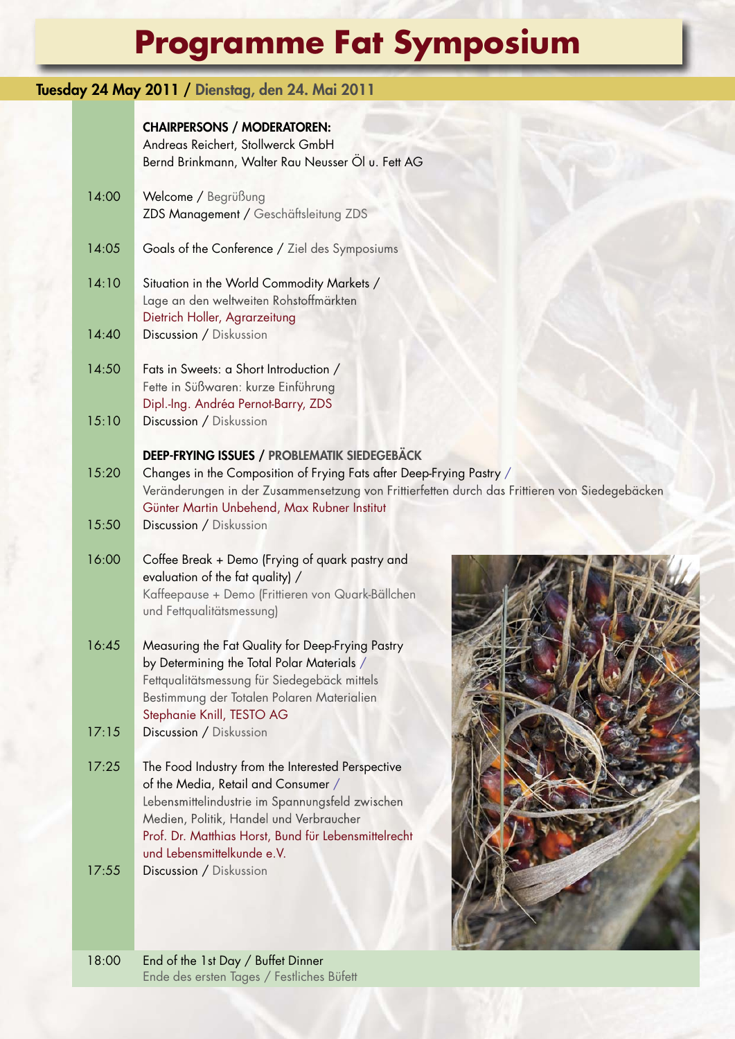# **Programme Fat Symposium**

# **Tuesday 24 May 2011 / Dienstag, den 24. Mai 2011**

#### **CHAIRPERSONS / MODERATOREN:**

|       | Andreas Reichert, Stollwerck GmbH<br>Bernd Brinkmann, Walter Rau Neusser Öl u. Fett AG                                                                                                                                                                                       |  |
|-------|------------------------------------------------------------------------------------------------------------------------------------------------------------------------------------------------------------------------------------------------------------------------------|--|
| 14:00 | Welcome / Begrüßung<br>ZDS Management / Geschäftsleitung ZDS                                                                                                                                                                                                                 |  |
| 14:05 | Goals of the Conference / Ziel des Symposiums                                                                                                                                                                                                                                |  |
| 14:10 | Situation in the World Commodity Markets /<br>Lage an den weltweiten Rohstoffmärkten<br>Dietrich Holler, Agrarzeitung                                                                                                                                                        |  |
| 14:40 | Discussion / Diskussion                                                                                                                                                                                                                                                      |  |
| 14:50 | Fats in Sweets: a Short Introduction /<br>Fette in Süßwaren: kurze Einführung<br>Dipl.-Ing. Andréa Pernot-Barry, ZDS                                                                                                                                                         |  |
| 15:10 | Discussion / Diskussion                                                                                                                                                                                                                                                      |  |
| 15:20 | <b>DEEP-FRYING ISSUES / PROBLEMATIK SIEDEGEBÄCK</b><br>Changes in the Composition of Frying Fats after Deep-Frying Pastry /<br>Veränderungen in der Zusammensetzung von Frittierfetten durch das Frittieren von Siedegebäcken<br>Günter Martin Unbehend, Max Rubner Institut |  |
| 15:50 | Discussion / Diskussion                                                                                                                                                                                                                                                      |  |
| 16:00 | Coffee Break + Demo (Frying of quark pastry and<br>evaluation of the fat quality) /<br>Kaffeepause + Demo (Frittieren von Quark-Bällchen<br>und Fettqualitätsmessung)                                                                                                        |  |
| 16:45 | Measuring the Fat Quality for Deep-Frying Pastry<br>by Determining the Total Polar Materials /<br>Fettqualitätsmessung für Siedegebäck mittels<br>Bestimmung der Totalen Polaren Materialien<br>Stephanie Knill, TESTO AG                                                    |  |
| 17:15 | Discussion / Diskussion                                                                                                                                                                                                                                                      |  |
| 17:25 | The Food Industry from the Interested Perspective<br>of the Media, Retail and Consumer /<br>Lebensmittelindustrie im Spannungsfeld zwischen<br>Medien, Politik, Handel und Verbraucher<br>Prof. Dr. Matthias Horst, Bund für Lebensmittelrecht<br>und Lebensmittelkunde e.V. |  |
| 17:55 | Discussion / Diskussion                                                                                                                                                                                                                                                      |  |

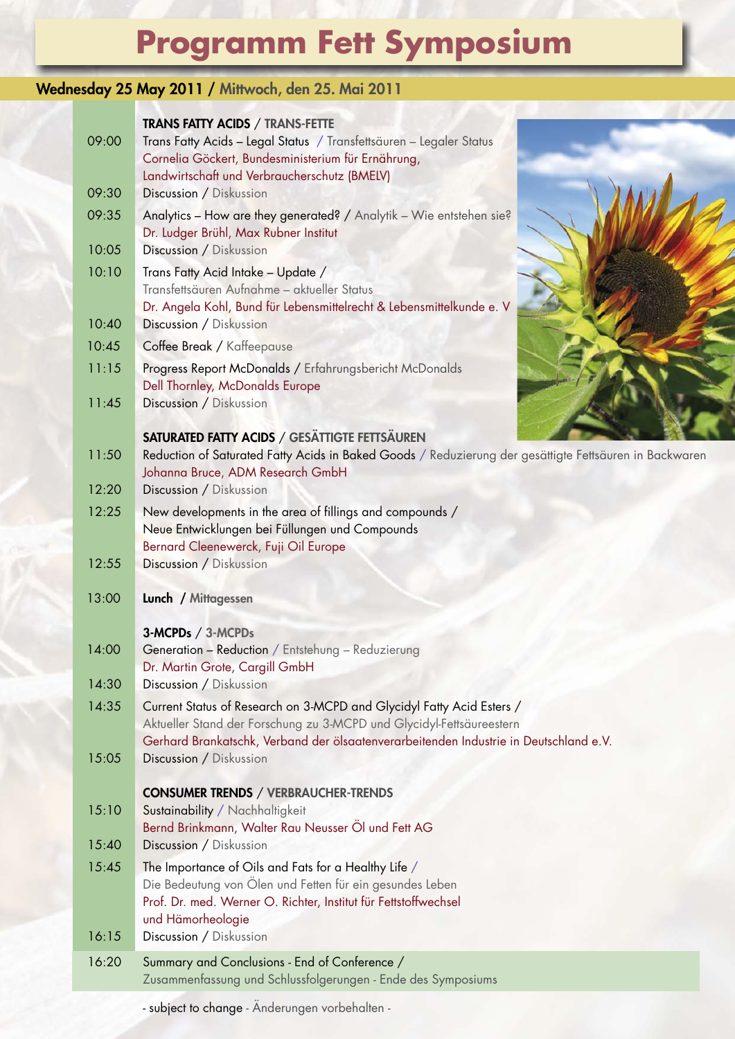# **Programm Fett Symposium**

### **Wednesday 25 May 2011 / Mittwoch, den 25. Mai 2011**

| 09:00 | <b>TRANS FATTY ACIDS / TRANS-FETTE</b><br>Trans Fatty Acids - Legal Status / Transfettsäuren - Legaler Status<br>Cornelia Göckert, Bundesministerium für Ernährung,                 |  |
|-------|-------------------------------------------------------------------------------------------------------------------------------------------------------------------------------------|--|
|       | Landwirtschaft und Verbraucherschutz (BMELV)                                                                                                                                        |  |
| 09:30 | Discussion / Diskussion                                                                                                                                                             |  |
| 09:35 | Analytics - How are they generated? / Analytik - Wie entstehen sie?<br>Dr. Ludger Brühl, Max Rubner Institut                                                                        |  |
| 10:05 | Discussion / Diskussion                                                                                                                                                             |  |
| 10:10 | Trans Fatty Acid Intake - Update /<br>Transfettsäuren Aufnahme - aktueller Status<br>Dr. Angela Kohl, Bund für Lebensmittelrecht & Lebensmittelkunde e. V                           |  |
| 10:40 | Discussion / Diskussion                                                                                                                                                             |  |
| 10:45 | Coffee Break / Kaffeepause                                                                                                                                                          |  |
| 11:15 | Progress Report McDonalds / Erfahrungsbericht McDonalds<br>Dell Thornley, McDonalds Europe                                                                                          |  |
| 11:45 | Discussion / Diskussion                                                                                                                                                             |  |
|       | <b>SATURATED FATTY ACIDS / GESÄTTIGTE FETTSÄUREN</b>                                                                                                                                |  |
| 11:50 | Reduction of Saturated Fatty Acids in Baked Goods / Reduzierung der gesättigte Fettsäuren in Backwaren<br>Johanna Bruce, ADM Research GmbH                                          |  |
| 12:20 | Discussion / Diskussion                                                                                                                                                             |  |
| 12:25 | New developments in the area of fillings and compounds /<br>Neue Entwicklungen bei Füllungen und Compounds                                                                          |  |
|       | Bernard Cleenewerck, Fuji Oil Europe                                                                                                                                                |  |
| 12:55 | Discussion / Diskussion                                                                                                                                                             |  |
| 13:00 | Lunch / Mittagessen                                                                                                                                                                 |  |
|       | 3-MCPDs / 3-MCPDs                                                                                                                                                                   |  |
| 14:00 | Generation - Reduction / Entstehung - Reduzierung<br>Dr. Martin Grote, Cargill GmbH                                                                                                 |  |
| 14:30 | Discussion / Diskussion                                                                                                                                                             |  |
| 14:35 | Current Status of Research on 3-MCPD and Glycidyl Fatty Acid Esters /<br>Aktueller Stand der Forschung zu 3-MCPD und Glycidyl-Fettsäureestern                                       |  |
| 15:05 | Gerhard Brankatschk, Verband der ölsaatenverarbeitenden Industrie in Deutschland e.V.<br>Discussion / Diskussion                                                                    |  |
|       |                                                                                                                                                                                     |  |
|       | <b>CONSUMER TRENDS / VERBRAUCHER-TRENDS</b>                                                                                                                                         |  |
| 15:10 | Sustainability / Nachhaltigkeit                                                                                                                                                     |  |
|       | Bernd Brinkmann, Walter Rau Neusser Öl und Fett AG                                                                                                                                  |  |
| 15:40 | Discussion / Diskussion                                                                                                                                                             |  |
| 15:45 | The Importance of Oils and Fats for a Healthy Life /<br>Die Bedeutung von Ölen und Fetten für ein gesundes Leben<br>Prof. Dr. med. Werner O. Richter, Institut für Fettstoffwechsel |  |
|       | und Hämorheologie                                                                                                                                                                   |  |
| 16:15 | Discussion / Diskussion                                                                                                                                                             |  |
| 16:20 | Summary and Conclusions - End of Conference /<br>Zusammenfassung und Schlussfolgerungen - Ende des Symposiums                                                                       |  |

- subject to change - Änderungen vorbehalten -